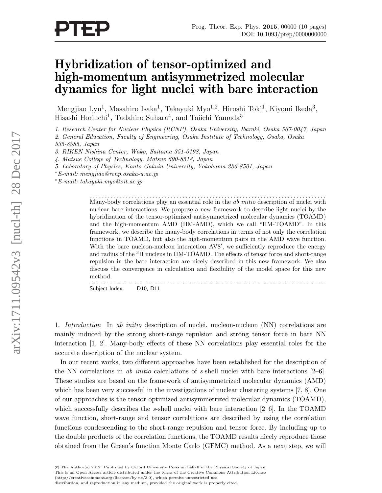## Hybridization of tensor-optimized and high-momentum antisymmetrized molecular dynamics for light nuclei with bare interaction

Mengjiao Lyu<sup>1</sup>, Masahiro Isaka<sup>1</sup>, Takayuki Myo<sup>1,2</sup>, Hiroshi Toki<sup>1</sup>, Kiyomi Ikeda<sup>3</sup>, Hisashi Horiuchi<sup>1</sup>, Tadahiro Suhara<sup>4</sup>, and Taiichi Yamada<sup>5</sup>

1. Research Center for Nuclear Physics (RCNP), Osaka University, Ibaraki, Osaka 567-0047, Japan

2. General Education, Faculty of Engineering, Osaka Institute of Technology, Osaka, Osaka

535-8585, Japan

3. RIKEN Nishina Center, Wako, Saitama 351-0198, Japan

4. Matsue College of Technology, Matsue 690-8518, Japan

5. Laboratory of Physics, Kanto Gakuin University, Yokohama 236-8501, Japan

<sup>∗</sup>E-mail: mengjiao@rcnp.osaka-u.ac.jp

<sup>∗</sup>E-mail: takayuki.myo@oit.ac.jp

. . . . . . . . . . . . . . . . . . . . . . . . . . . . . . . . . . . . . . . . . . . . . . . . . . . . . . . . . . . . . . . . . . . . . . . . . . . . . . . Many-body correlations play an essential role in the *ab initio* description of nuclei with nuclear bare interactions. We propose a new framework to describe light nuclei by the hybridization of the tensor-optimized antisymmetrized molecular dynamics (TOAMD) and the high-momentum AMD (HM-AMD), which we call "HM-TOAMD". In this framework, we describe the many-body correlations in terms of not only the correlation functions in TOAMD, but also the high-momentum pairs in the AMD wave function. With the bare nucleon-nucleon interaction AV8', we sufficiently reproduce the energy and radius of the <sup>3</sup>H nucleus in HM-TOAMD. The effects of tensor force and short-range repulsion in the bare interaction are nicely described in this new framework. We also discuss the convergence in calculation and flexibility of the model space for this new method. . . . . . . . . . . . . . . . . . . . . . . . . . . . . . . . . . . . . . . . . . . . . . . . . . . . . . . . . . . . . . . . . . . . . . . . . . . . . . . . . . . . . . . . . . . . . . .

Subject Index D10, D11

1. Introduction In ab initio description of nuclei, nucleon-nucleon (NN) correlations are mainly induced by the strong short-range repulsion and strong tensor force in bare NN interaction [1, 2]. Many-body effects of these NN correlations play essential roles for the accurate description of the nuclear system.

In our recent works, two different approaches have been established for the description of the NN correlations in ab initio calculations of s-shell nuclei with bare interactions  $[2-6]$ . These studies are based on the framework of antisymmetrized molecular dynamics (AMD) which has been very successful in the investigations of nuclear clustering systems [7, 8]. One of our approaches is the tensor-optimized antisymmetrized molecular dynamics (TOAMD), which successfully describes the s-shell nuclei with bare interaction  $[2-6]$ . In the TOAMD wave function, short-range and tensor correlations are described by using the correlation functions condescending to the short-range repulsion and tensor force. By including up to the double products of the correlation functions, the TOAMD results nicely reproduce those obtained from the Green's function Monte Carlo (GFMC) method. As a next step, we will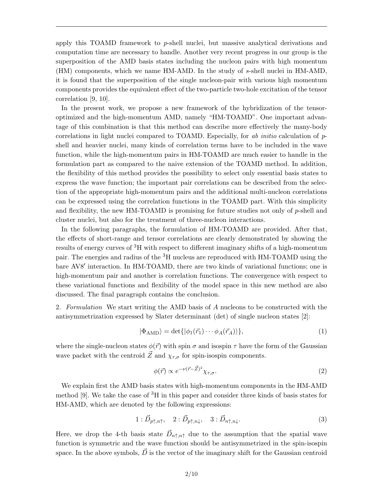apply this TOAMD framework to p-shell nuclei, but massive analytical derivations and computation time are necessary to handle. Another very recent progress in our group is the superposition of the AMD basis states including the nucleon pairs with high momentum (HM) components, which we name HM-AMD. In the study of s-shell nuclei in HM-AMD, it is found that the superposition of the single nucleon-pair with various high momentum components provides the equivalent effect of the two-particle two-hole excitation of the tensor correlation [9, 10].

In the present work, we propose a new framework of the hybridization of the tensoroptimized and the high-momentum AMD, namely "HM-TOAMD". One important advantage of this combination is that this method can describe more effectively the many-body correlations in light nuclei compared to TOAMD. Especially, for ab initio calculation of  $p$ shell and heavier nuclei, many kinds of correlation terms have to be included in the wave function, while the high-momentum pairs in HM-TOAMD are much easier to handle in the formulation part as compared to the naive extension of the TOAMD method. In addition, the flexibility of this method provides the possibility to select only essential basis states to express the wave function; the important pair correlations can be described from the selection of the appropriate high-momentum pairs and the additional multi-nucleon correlations can be expressed using the correlation functions in the TOAMD part. With this simplicity and flexibility, the new HM-TOAMD is promising for future studies not only of  $p$ -shell and cluster nuclei, but also for the treatment of three-nucleon interactions.

In the following paragraphs, the formulation of HM-TOAMD are provided. After that, the effects of short-range and tensor correlations are clearly demonstrated by showing the results of energy curves of <sup>3</sup>H with respect to different imaginary shifts of a high-momentum pair. The energies and radius of the <sup>3</sup>H nucleus are reproduced with HM-TOAMD using the bare AV8' interaction. In HM-TOAMD, there are two kinds of variational functions; one is high-momentum pair and another is correlation functions. The convergence with respect to these variational functions and flexibility of the model space in this new method are also discussed. The final paragraph contains the conclusion.

2. Formulation We start writing the AMD basis of A nucleons to be constructed with the antisymmetrization expressed by Slater determinant (det) of single nucleon states [2]:

$$
|\Phi_{\text{AMD}}\rangle = \det\{|\phi_1(\vec{r}_1)\cdots\phi_A(\vec{r}_A)\rangle\},\tag{1}
$$

where the single-nucleon states  $\phi(\vec{r})$  with spin  $\sigma$  and isospin  $\tau$  have the form of the Gaussian wave packet with the centroid  $\vec{Z}$  and  $\chi_{\tau,\sigma}$  for spin-isospin components.

$$
\phi(\vec{r}) \propto e^{-\nu(\vec{r}-\vec{Z})^2} \chi_{\tau,\sigma}.\tag{2}
$$

We explain first the AMD basis states with high-momentum components in the HM-AMD method [9]. We take the case of  ${}^{3}H$  in this paper and consider three kinds of basis states for HM-AMD, which are denoted by the following expressions:

$$
1: \vec{D}_{p\uparrow,n\uparrow}, \quad 2: \vec{D}_{p\uparrow,n\downarrow}, \quad 3: \vec{D}_{n\uparrow,n\downarrow}.
$$

Here, we drop the 4-th basis state  $\vec{D}_{n\uparrow,n\uparrow}$  due to the assumption that the spatial wave function is symmetric and the wave function should be antisymmetrized in the spin-isospin space. In the above symbols,  $\vec{D}$  is the vector of the imaginary shift for the Gaussian centroid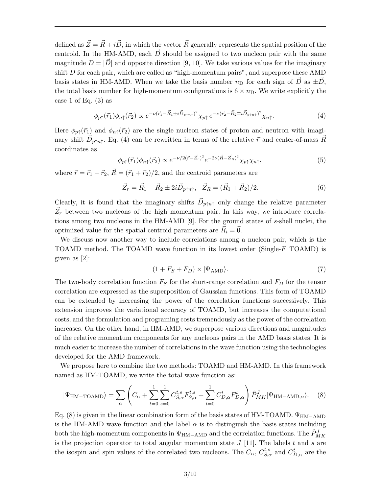defined as  $\vec{Z} = \vec{R} + i\vec{D}$ , in which the vector  $\vec{R}$  generally represents the spatial position of the centroid. In the HM-AMD, each  $\vec{D}$  should be assigned to two nucleon pair with the same magnitude  $D = |\vec{D}|$  and opposite direction [9, 10]. We take various values for the imaginary shift D for each pair, which are called as "high-momentum pairs", and superpose these AMD basis states in HM-AMD. When we take the basis number  $n<sub>D</sub>$  for each sign of  $\vec{D}$  as  $\pm \vec{D}$ , the total basis number for high-momentum configurations is  $6 \times n<sub>D</sub>$ . We write explicitly the case 1 of Eq.  $(3)$  as

$$
\phi_{p\uparrow}(\vec{r}_1)\phi_{n\uparrow}(\vec{r}_2) \propto e^{-\nu(\vec{r}_1 - \vec{R}_1 \pm i\vec{D}_{p\uparrow n\uparrow})^2} \chi_{p\uparrow} \, e^{-\nu(\vec{r}_2 - \vec{R}_2 \mp i\vec{D}_{p\uparrow n\uparrow})^2} \chi_{n\uparrow}.\tag{4}
$$

Here  $\phi_{p\uparrow}(\vec{r}_1)$  and  $\phi_{n\uparrow}(\vec{r}_2)$  are the single nucleon states of proton and neutron with imaginary shift  $\vec{D}_{p\uparrow n\uparrow}$ . Eq. (4) can be rewritten in terms of the relative  $\vec{r}$  and center-of-mass  $\vec{R}$ coordinates as

$$
\phi_{p\uparrow}(\vec{r}_1)\phi_{n\uparrow}(\vec{r}_2) \propto e^{-\nu/2(\vec{r}-\vec{Z}_r)^2}e^{-2\nu(\vec{R}-\vec{Z}_R)^2}\chi_{p\uparrow}\chi_{n\uparrow},\tag{5}
$$

where  $\vec{r} = \vec{r}_1 - \vec{r}_2$ ,  $\vec{R} = (\vec{r}_1 + \vec{r}_2)/2$ , and the centroid parameters are

$$
\vec{Z}_r = \vec{R}_1 - \vec{R}_2 \pm 2i \vec{D}_{p \uparrow n \uparrow}, \quad \vec{Z}_R = (\vec{R}_1 + \vec{R}_2)/2. \tag{6}
$$

Clearly, it is found that the imaginary shifts  $\vec{D}_{p\uparrow n\uparrow}$  only change the relative parameter  $\vec{Z}_r$  between two nucleons of the high momentum pair. In this way, we introduce correlations among two nucleons in the HM-AMD [9]. For the ground states of s-shell nuclei, the optimized value for the spatial centroid parameters are  $\vec{R}_i = \vec{0}$ .

We discuss now another way to include correlations among a nucleon pair, which is the TOAMD method. The TOAMD wave function in its lowest order (Single- $F$  TOAMD) is given as [2]:

$$
(1 + F_S + F_D) \times |\Psi_{\text{AMD}}\rangle. \tag{7}
$$

The two-body correlation function  $F_S$  for the short-range correlation and  $F_D$  for the tensor correlation are expressed as the superposition of Gaussian functions. This form of TOAMD can be extended by increasing the power of the correlation functions successively. This extension improves the variational accuracy of TOAMD, but increases the computational costs, and the formulation and programing costs tremendously as the power of the correlation increases. On the other hand, in HM-AMD, we superpose various directions and magnitudes of the relative momentum components for any nucleons pairs in the AMD basis states. It is much easier to increase the number of correlations in the wave function using the technologies developed for the AMD framework.

We propose here to combine the two methods: TOAMD and HM-AMD. In this framework named as HM-TOAMD, we write the total wave function as:

$$
|\Psi_{\text{HM-TOAMD}}\rangle = \sum_{\alpha} \left( C_{\alpha} + \sum_{t=0}^{1} \sum_{s=0}^{1} C_{S,\alpha}^{t,s} F_{S,\alpha}^{t,s} + \sum_{t=0}^{1} C_{D,\alpha}^{t} F_{D,\alpha}^{t}\right) \hat{P}_{MK}^{J} |\Psi_{\text{HM-AMD},\alpha}\rangle. \tag{8}
$$

Eq. (8) is given in the linear combination form of the basis states of HM-TOAMD.  $\Psi_{\text{HM-AMD}}$ is the HM-AMD wave function and the label  $\alpha$  is to distinguish the basis states including both the high-momentum components in  $\Psi_{\rm HM-AMD}$  and the correlation functions. The  $\hat{P}^{J}_{MK}$ is the projection operator to total angular momentum state  $J$  [11]. The labels t and s are the isospin and spin values of the correlated two nucleons. The  $C_{\alpha}$ ,  $C_{S,\alpha}^{t,s}$  and  $C_{D,\alpha}^{t}$  are the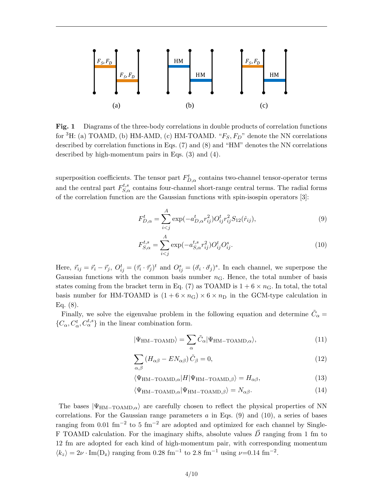

Fig. 1 Diagrams of the three-body correlations in double products of correlation functions for <sup>3</sup>H: (a) TOAMD, (b) HM-AMD, (c) HM-TOAMD. " $F_S, F_D$ " denote the NN correlations described by correlation functions in Eqs. (7) and (8) and "HM" denotes the NN correlations described by high-momentum pairs in Eqs. (3) and (4).

superposition coefficients. The tensor part  $F_{D,\alpha}^t$  contains two-channel tensor-operator terms and the central part  $F_{S,\alpha}^{t,s}$  contains four-channel short-range central terms. The radial forms of the correlation function are the Gaussian functions with spin-isospin operators [3]:

$$
F_{D,\alpha}^{t} = \sum_{i < j}^{A} \exp(-a_{D,\alpha}^{t} r_{ij}^{2}) O_{ij}^{t} r_{ij}^{2} S_{12}(\hat{r}_{ij}), \tag{9}
$$

$$
F_{S,\alpha}^{t,s} = \sum_{i (10)
$$

Here,  $\vec{r}_{ij} = \vec{r}_i - \vec{r}_j$ ,  $O_{ij}^t = (\vec{\tau}_i \cdot \vec{\tau}_j)^t$  and  $O_{ij}^s = (\vec{\sigma}_i \cdot \vec{\sigma}_j)^s$ . In each channel, we superpose the Gaussian functions with the common basis number  $n<sub>G</sub>$ . Hence, the total number of basis states coming from the bracket term in Eq. (7) as TOAMD is  $1+6 \times n_{\rm G}$ . In total, the total basis number for HM-TOAMD is  $(1 + 6 \times n_G) \times 6 \times n_D$  in the GCM-type calculation in Eq. (8).

Finally, we solve the eigenvalue problem in the following equation and determine  $\tilde{C}_{\alpha} =$  $\{C_\alpha, C_\alpha^t, C_\alpha^{t,s}\}\$ in the linear combination form.

$$
|\Psi_{\text{HM-TOAMD}}\rangle = \sum_{\alpha} \tilde{C}_{\alpha} |\Psi_{\text{HM-TOAMD},\alpha}\rangle, \tag{11}
$$

$$
\sum_{\alpha,\beta} \left( H_{\alpha\beta} - EN_{\alpha\beta} \right) \tilde{C}_{\beta} = 0, \tag{12}
$$

$$
\langle \Psi_{\text{HM-TOAMD},\alpha} | H | \Psi_{\text{HM-TOAMD},\beta} \rangle = H_{\alpha\beta},\tag{13}
$$

$$
\langle \Psi_{\rm HM-TOAMD,\alpha} | \Psi_{\rm HM-TOAMD,\beta} \rangle = N_{\alpha\beta}.
$$
 (14)

The bases  $|\Psi_{\text{HM-TOAMD},\alpha}\rangle$  are carefully chosen to reflect the physical properties of NN correlations. For the Gaussian range parameters  $a$  in Eqs. (9) and (10), a series of bases ranging from 0.01 fm<sup>-2</sup> to 5 fm<sup>-2</sup> are adopted and optimized for each channel by Single-F TOAMD calculation. For the imaginary shifts, absolute values  $\vec{D}$  ranging from 1 fm to 12 fm are adopted for each kind of high-momentum pair, with corresponding momentum  $\langle k_z \rangle = 2\nu \cdot \text{Im}(D_z)$  ranging from 0.28 fm<sup>-1</sup> to 2.8 fm<sup>-1</sup> using  $\nu$ =0.14 fm<sup>-2</sup>.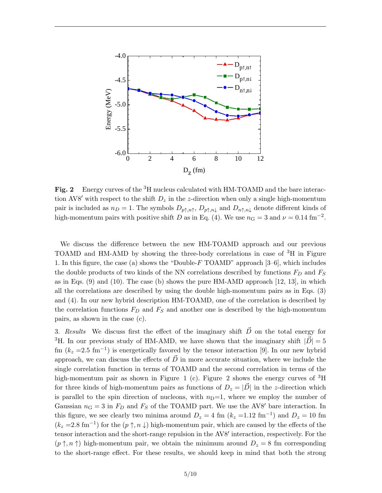

Fig. 2 Energy curves of the <sup>3</sup>H nucleus calculated with HM-TOAMD and the bare interaction AV8' with respect to the shift  $D_z$  in the z-direction when only a single high-momentum pair is included as  $n_D = 1$ . The symbols  $D_{p\uparrow,n\uparrow}$ ,  $D_{p\uparrow,n\downarrow}$  and  $D_{n\uparrow,n\downarrow}$  denote different kinds of high-momentum pairs with positive shift D as in Eq. (4). We use  $n_G = 3$  and  $\nu = 0.14$  fm<sup>-2</sup>.

We discuss the difference between the new HM-TOAMD approach and our previous TOAMD and HM-AMD by showing the three-body correlations in case of <sup>3</sup>H in Figure 1. In this figure, the case (a) shows the "Double-F TOAMD" approach [3–6], which includes the double products of two kinds of the NN correlations described by functions  $F_D$  and  $F_S$ as in Eqs. (9) and (10). The case (b) shows the pure HM-AMD approach [12, 13], in which all the correlations are described by using the double high-momentum pairs as in Eqs. (3) and (4). In our new hybrid description HM-TOAMD, one of the correlation is described by the correlation functions  $F_D$  and  $F_S$  and another one is described by the high-momentum pairs, as shown in the case (c).

3. Results We discuss first the effect of the imaginary shift  $\vec{D}$  on the total energy for <sup>3</sup>H. In our previous study of HM-AMD, we have shown that the imaginary shift  $|\vec{D}| = 5$ fm  $(k_z = 2.5 \text{ fm}^{-1})$  is energetically favored by the tensor interaction [9]. In our new hybrid approach, we can discuss the effects of  $\vec{D}$  in more accurate situation, where we include the single correlation function in terms of TOAMD and the second correlation in terms of the high-momentum pair as shown in Figure 1 (c). Figure 2 shows the energy curves of  ${}^{3}H$ for three kinds of high-momentum pairs as functions of  $D_z = |\vec{D}|$  in the z-direction which is parallel to the spin direction of nucleons, with  $n<sub>D</sub>=1$ , where we employ the number of Gaussian  $n_G = 3$  in  $F_D$  and  $F_S$  of the TOAMD part. We use the AV8' bare interaction. In this figure, we see clearly two minima around  $D_z = 4$  fm  $(k_z = 1.12 \text{ fm}^{-1})$  and  $D_z = 10 \text{ fm}$  $(k_z = 2.8 \text{ fm}^{-1})$  for the  $(p \uparrow, n \downarrow)$  high-momentum pair, which are caused by the effects of the tensor interaction and the short-range repulsion in the AV8' interaction, respectively. For the  $(p \uparrow, n \uparrow)$  high-momentum pair, we obtain the minimum around  $D_z = 8$  fm corresponding to the short-range effect. For these results, we should keep in mind that both the strong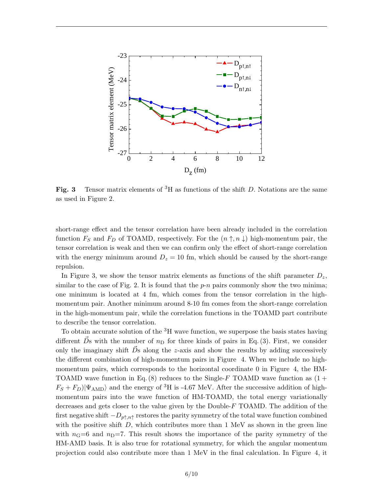

Fig. 3 Tensor matrix elements of <sup>3</sup>H as functions of the shift D. Notations are the same as used in Figure 2.

short-range effect and the tensor correlation have been already included in the correlation function  $F_S$  and  $F_D$  of TOAMD, respectively. For the  $(n \uparrow, n \downarrow)$  high-momentum pair, the tensor correlation is weak and then we can confirm only the effect of short-range correlation with the energy minimum around  $D_z = 10$  fm, which should be caused by the short-range repulsion.

In Figure 3, we show the tensor matrix elements as functions of the shift parameter  $D_z$ , similar to the case of Fig. 2. It is found that the  $p-n$  pairs commonly show the two minima; one minimum is located at 4 fm, which comes from the tensor correlation in the highmomentum pair. Another minimum around 8-10 fm comes from the short-range correlation in the high-momentum pair, while the correlation functions in the TOAMD part contribute to describe the tensor correlation.

To obtain accurate solution of the  ${}^{3}H$  wave function, we superpose the basis states having different  $\vec{D}$ s with the number of  $n<sub>D</sub>$  for three kinds of pairs in Eq. (3). First, we consider only the imaginary shift  $\dot{D}$ s along the z-axis and show the results by adding successively the different combination of high-momentum pairs in Figure 4. When we include no highmomentum pairs, which corresponds to the horizontal coordinate 0 in Figure 4, the HM-TOAMD wave function in Eq. (8) reduces to the Single-F TOAMD wave function as  $(1 +$  $F_S + F_D |\Psi_{\rm AMD}\rangle$  and the energy of <sup>3</sup>H is -4.67 MeV. After the successive addition of highmomentum pairs into the wave function of HM-TOAMD, the total energy variationally decreases and gets closer to the value given by the Double- $F$  TOAMD. The addition of the first negative shift  $-D_{p\uparrow,n\uparrow}$  restores the parity symmetry of the total wave function combined with the positive shift  $D$ , which contributes more than 1 MeV as shown in the green line with  $n_{\rm G}=6$  and  $n_{\rm D}=7$ . This result shows the importance of the parity symmetry of the HM-AMD basis. It is also true for rotational symmetry, for which the angular momentum projection could also contribute more than 1 MeV in the final calculation. In Figure 4, it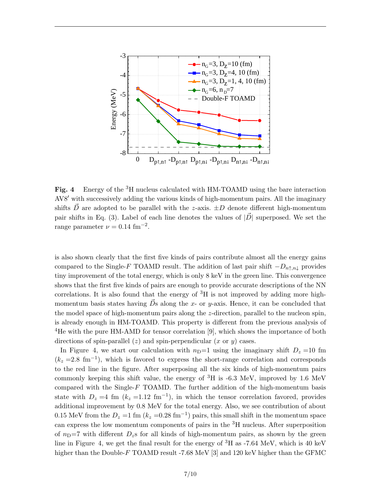

Fig. 4 Energy of the <sup>3</sup>H nucleus calculated with HM-TOAMD using the bare interaction AV8<sup>'</sup> with successively adding the various kinds of high-momentum pairs. All the imaginary shifts  $\vec{D}$  are adopted to be parallel with the z-axis.  $\pm D$  denote different high-momentum pair shifts in Eq. (3). Label of each line denotes the values of  $|\vec{D}|$  superposed. We set the range parameter  $\nu = 0.14 \text{ fm}^{-2}$ .

is also shown clearly that the first five kinds of pairs contribute almost all the energy gains compared to the Single-F TOAMD result. The addition of last pair shift  $-D_{n \uparrow, n \downarrow}$  provides tiny improvement of the total energy, which is only 8 keV in the green line. This convergence shows that the first five kinds of pairs are enough to provide accurate descriptions of the NN correlations. It is also found that the energy of  ${}^{3}H$  is not improved by adding more highmomentum basis states having  $\vec{D}$ s along the x- or y-axis. Hence, it can be concluded that the model space of high-momentum pairs along the z-direction, parallel to the nucleon spin, is already enough in HM-TOAMD. This property is different from the previous analysis of <sup>4</sup>He with the pure HM-AMD for tensor correlation [9], which shows the importance of both directions of spin-parallel  $(z)$  and spin-perpendicular  $(x \text{ or } y)$  cases.

In Figure 4, we start our calculation with  $n<sub>D</sub>=1$  using the imaginary shift  $D<sub>z</sub>=10$  fm  $(k_z = 2.8 \text{ fm}^{-1})$ , which is favored to express the short-range correlation and corresponds to the red line in the figure. After superposing all the six kinds of high-momentum pairs commonly keeping this shift value, the energy of  ${}^{3}H$  is -6.3 MeV, improved by 1.6 MeV compared with the Single-F TOAMD. The further addition of the high-momentum basis state with  $D_z = 4$  fm  $(k_z = 1.12 \text{ fm}^{-1})$ , in which the tensor correlation favored, provides additional improvement by 0.8 MeV for the total energy. Also, we see contribution of about 0.15 MeV from the  $D_z = 1$  fm  $(k_z = 0.28 \text{ fm}^{-1})$  pairs, this small shift in the momentum space can express the low momentum components of pairs in the <sup>3</sup>H nucleus. After superposition of  $n<sub>D</sub>=7$  with different  $D<sub>z</sub>$  s for all kinds of high-momentum pairs, as shown by the green line in Figure 4, we get the final result for the energy of  ${}^{3}H$  as -7.64 MeV, which is 40 keV higher than the Double-F TOAMD result -7.68 MeV [3] and 120 keV higher than the GFMC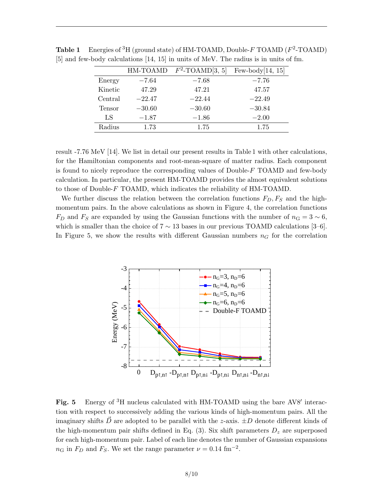|         | HM-TOAMD | $F^2$ -TOAMD[3, 5] | Few-body $[14, 15]$ |
|---------|----------|--------------------|---------------------|
| Energy  | $-7.64$  | $-7.68$            | $-7.76$             |
| Kinetic | 47.29    | 47.21              | 47.57               |
| Central | $-22.47$ | $-22.44$           | $-22.49$            |
| Tensor  | $-30.60$ | $-30.60$           | $-30.84$            |
| LS      | $-1.87$  | $-1.86$            | $-2.00$             |
| Radius  | 1.73     | 1.75               | 1.75                |

**Table 1** Energies of <sup>3</sup>H (ground state) of HM-TOAMD, Double-F TOAMD ( $F^2$ -TOAMD) [5] and few-body calculations [14, 15] in units of MeV. The radius is in units of fm.

result -7.76 MeV [14]. We list in detail our present results in Table 1 with other calculations, for the Hamiltonian components and root-mean-square of matter radius. Each component is found to nicely reproduce the corresponding values of Double- $F$  TOAMD and few-body calculation. In particular, the present HM-TOAMD provides the almost equivalent solutions to those of Double-F TOAMD, which indicates the reliability of HM-TOAMD.

We further discuss the relation between the correlation functions  $F_D, F_S$  and the highmomentum pairs. In the above calculations as shown in Figure 4, the correlation functions  $F_D$  and  $F_S$  are expanded by using the Gaussian functions with the number of  $n_G = 3 \sim 6$ , which is smaller than the choice of  $7 \sim 13$  bases in our previous TOAMD calculations [3–6]. In Figure 5, we show the results with different Gaussian numbers  $n<sub>G</sub>$  for the correlation



Fig. 5 Energy of  ${}^{3}H$  nucleus calculated with HM-TOAMD using the bare AV8' interaction with respect to successively adding the various kinds of high-momentum pairs. All the imaginary shifts  $\vec{D}$  are adopted to be parallel with the z-axis.  $\pm D$  denote different kinds of the high-momentum pair shifts defined in Eq.  $(3)$ . Six shift parameters  $D<sub>z</sub>$  are superposed for each high-momentum pair. Label of each line denotes the number of Gaussian expansions  $n_{\rm G}$  in  $F_D$  and  $F_S$ . We set the range parameter  $\nu = 0.14 \text{ fm}^{-2}$ .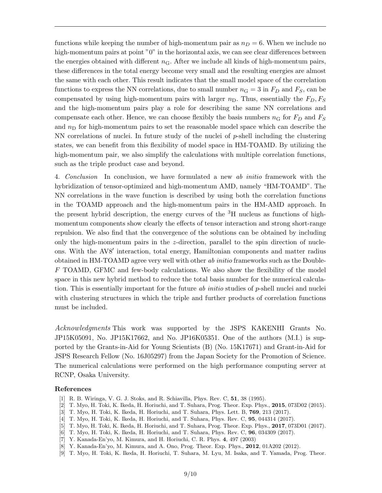functions while keeping the number of high-momentum pair as  $n_D = 6$ . When we include no high-momentum pairs at point "0" in the horizontal axis, we can see clear differences between the energies obtained with different  $n<sub>G</sub>$ . After we include all kinds of high-momentum pairs, these differences in the total energy become very small and the resulting energies are almost the same with each other. This result indicates that the small model space of the correlation functions to express the NN correlations, due to small number  $n_G = 3$  in  $F_D$  and  $F_S$ , can be compensated by using high-momentum pairs with larger  $n<sub>D</sub>$ . Thus, essentially the  $F<sub>D</sub>$ ,  $F<sub>S</sub>$ and the high-momentum pairs play a role for describing the same NN correlations and compensate each other. Hence, we can choose flexibly the basis numbers  $n_G$  for  $F_D$  and  $F_S$ and  $n<sub>D</sub>$  for high-momentum pairs to set the reasonable model space which can describe the NN correlations of nuclei. In future study of the nuclei of  $p$ -shell including the clustering states, we can benefit from this flexibility of model space in HM-TOAMD. By utilizing the high-momentum pair, we also simplify the calculations with multiple correlation functions, such as the triple product case and beyond.

4. Conclusion In conclusion, we have formulated a new ab initio framework with the hybridization of tensor-optimized and high-momentum AMD, namely "HM-TOAMD". The NN correlations in the wave function is described by using both the correlation functions in the TOAMD approach and the high-momentum pairs in the HM-AMD approach. In the present hybrid description, the energy curves of the  ${}^{3}H$  nucleus as functions of highmomentum components show clearly the effects of tensor interaction and strong short-range repulsion. We also find that the convergence of the solutions can be obtained by including only the high-momentum pairs in the  $z$ -direction, parallel to the spin direction of nucleons. With the AV8' interaction, total energy, Hamiltonian components and matter radius obtained in HM-TOAMD agree very well with other ab initio frameworks such as the Double-F TOAMD, GFMC and few-body calculations. We also show the flexibility of the model space in this new hybrid method to reduce the total basis number for the numerical calculation. This is essentially important for the future *ab initio* studies of  $p$ -shell nuclei and nuclei with clustering structures in which the triple and further products of correlation functions must be included.

Acknowledgments This work was supported by the JSPS KAKENHI Grants No. JP15K05091, No. JP15K17662, and No. JP16K05351. One of the authors (M.I.) is supported by the Grants-in-Aid for Young Scientists (B) (No. 15K17671) and Grant-in-Aid for JSPS Research Fellow (No. 16J05297) from the Japan Society for the Promotion of Science. The numerical calculations were performed on the high performance computing server at RCNP, Osaka University.

## References

- [1] R. B. Wiringa, V. G. J. Stoks, and R. Schiavilla, Phys. Rev. C, 51, 38 (1995).
- [2] T. Myo, H. Toki, K. Ikeda, H. Horiuchi, and T. Suhara, Prog. Theor. Exp. Phys., 2015, 073D02 (2015).
- [3] T. Myo, H. Toki, K. Ikeda, H. Horiuchi, and T. Suhara, Phys. Lett. B, 769, 213 (2017).
- [4] T. Myo, H. Toki, K. Ikeda, H. Horiuchi, and T. Suhara, Phys. Rev. C, 95, 044314 (2017).
- [5] T. Myo, H. Toki, K. Ikeda, H. Horiuchi, and T. Suhara, Prog. Theor. Exp. Phys., 2017, 073D01 (2017).
- [6] T. Myo, H. Toki, K. Ikeda, H. Horiuchi, and T. Suhara, Phys. Rev. C, 96, 034309 (2017).
- [7] Y. Kanada-En'yo, M. Kimura, and H. Horiuchi, C. R. Phys. 4, 497 (2003)
- [8] Y. Kanada-En'yo, M. Kimura, and A. Ono, Prog. Theor. Exp. Phys., **2012**, 01A202 (2012).
- [9] T. Myo, H. Toki, K. Ikeda, H. Horiuchi, T. Suhara, M. Lyu, M. Isaka, and T. Yamada, Prog. Theor.